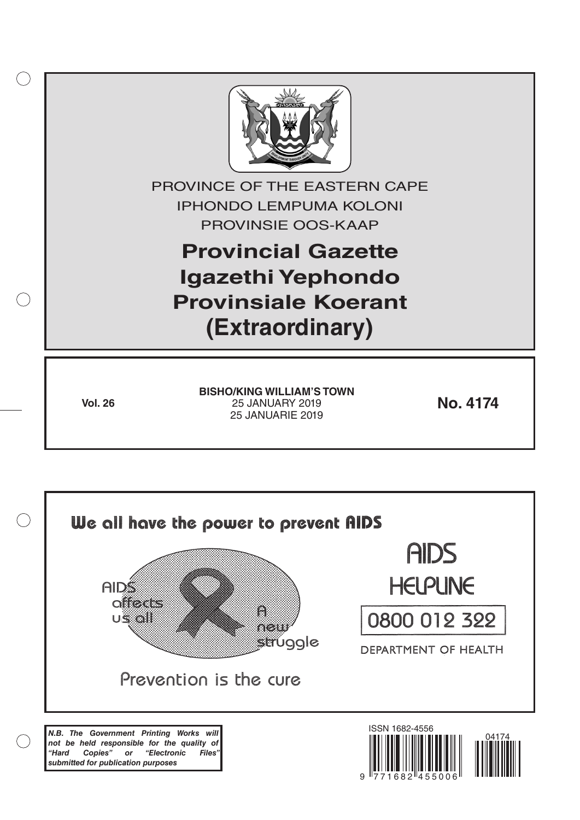

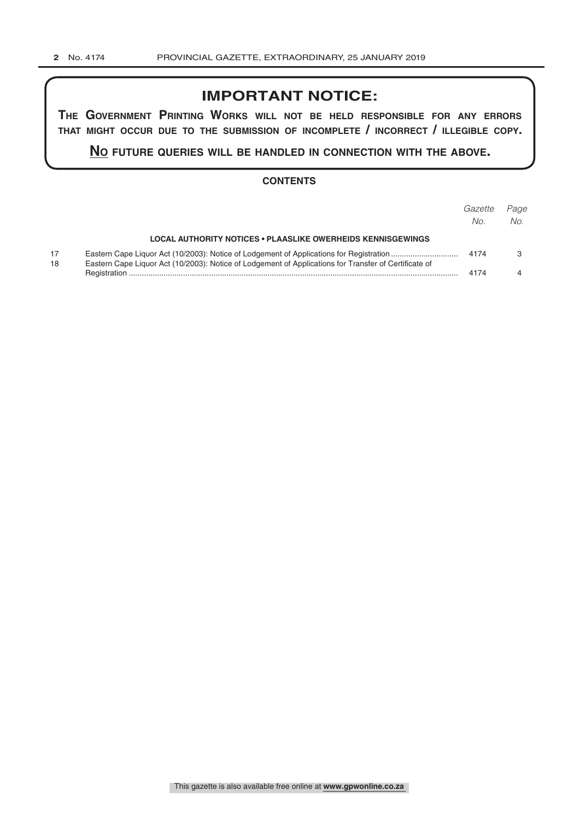## **IMPORTANT NOTICE:**

**The GovernmenT PrinTinG Works Will noT be held resPonsible for any errors ThaT miGhT occur due To The submission of incomPleTe / incorrecT / illeGible coPy.**

**no fuTure queries Will be handled in connecTion WiTh The above.**

#### **CONTENTS**

|          |                                                                                                       | Gazette<br>No. | Page<br>No. |
|----------|-------------------------------------------------------------------------------------------------------|----------------|-------------|
|          | LOCAL AUTHORITY NOTICES • PLAASLIKE OWERHEIDS KENNISGEWINGS                                           |                |             |
| 17<br>18 | Eastern Cape Liquor Act (10/2003): Notice of Lodgement of Applications for Transfer of Certificate of | 4174           |             |
|          |                                                                                                       | 4174           |             |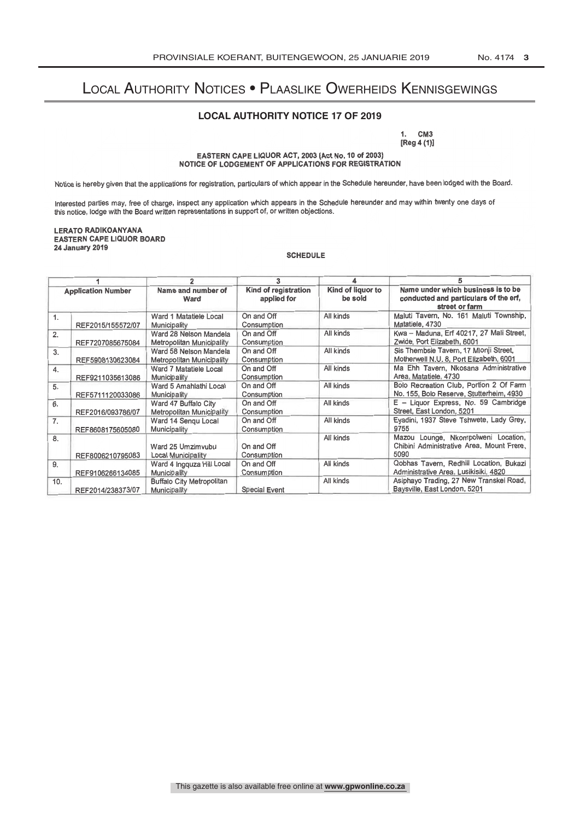# Local Authority Notices • Plaaslike Owerheids Kennisgewings

### **LOCAL AUTHORITY NOTICE 17 OF 2019**

1. CM3

[Reg 4 (1)]

EASTERN CAPE LIQUOR ACT, 2003 (Act No. 10 of 2003) NOTICE OF LODGEMENT OF APPLICATIONS FOR REGISTRATION

Notice is hereby given that the applications for registration, particulars of which appear in the Schedule hereunder, have been lodged with the Board.

Interested parties may, free of charge, inspect any application which appears in the Schedule hereunder and may within twenty one days of this notice, lodge with the Board written representations in support of, or written objections.

LERATO RADIKOANYANA EASTERN CAPE LIQUOR BOARD 24 January 2019

**SCHEDULE** 

|                           |                   | 2                                                          |                                     |                              |                                                                                               |
|---------------------------|-------------------|------------------------------------------------------------|-------------------------------------|------------------------------|-----------------------------------------------------------------------------------------------|
| <b>Application Number</b> |                   | Name and number of<br>Ward                                 | Kind of registration<br>applied for | Kind of liquor to<br>be sold | Name under which business is to be<br>conducted and particulars of the erf,<br>street or farm |
| 1.                        | REF2015/155572/07 | Ward 1 Matatiele Local<br>Municipality                     | On and Off<br>Consumption           | All kinds                    | Maluti Tavern, No. 161 Maluti Township,<br>Matatiele, 4730                                    |
| 2.                        | REF7207085675084  | Ward 28 Nelson Mandela<br>Metropolitan Municipality        | On and Off<br>Consumption           | All kinds                    | Kwa - Maduna, Erf 40217, 27 Mali Street,<br>Zwide, Port Elizabeth, 6001                       |
| 3.                        | REF5908130623084  | Ward 58 Nelson Mandela<br><b>Metropolitan Municipality</b> | On and Off<br>Consumption           | All kinds                    | Sis Thembsie Tavern, 17 Mlonji Street,<br>Motherwell N.U. 8. Port Elizabeth, 6001             |
| 4.                        | REF9211035613086  | Ward 7 Matatiele Local<br>Municipality                     | On and Off<br>Consumption           | All kinds                    | Ma Ehh Tavern, Nkosana Administrative<br>Area, Matatiele, 4730                                |
| 5.                        | REF5711120033086  | Ward 5 Amahlathi Local<br>Municipality                     | On and Off<br>Consumption           | All kinds                    | Bolo Recreation Club, Portion 2 Of Farm<br>No. 155, Bolo Reserve, Stutterheim, 4930           |
| 6.                        | REF2016/093786/07 | Ward 47 Buffalo City<br>Metropolitan Municipality          | On and Off<br>Consumption           | All kinds                    | E - Liguor Express, No. 59 Cambridge<br>Street, East London, 5201                             |
| 7.                        | REF8608175605080  | Ward 14 Sengu Local<br>Municipality                        | On and Off<br>Consumption           | All kinds                    | Eyadini, 1937 Steve Tshwete, Lady Grey,<br>9755                                               |
| 8.                        | REF8006210795083  | Ward 25 Umzimvubu<br><b>Local Municipality</b>             | On and Off<br>Consumption           | All kinds                    | Mazou Lounge, Nkompolweni Location,<br>Chibini Administrative Area, Mount Frere,<br>5090      |
| 9.                        | REF9106266134085  | Ward 4 Ingquza Hill Local<br>Municipality                  | On and Off<br>Consumption           | All kinds                    | Qobhas Tavern, Redhill Location, Bukazi<br>Administrative Area, Lusikisiki, 4820              |
| 10.                       | REF2014/238373/07 | <b>Buffalo City Metropolitan</b><br>Municipality           | <b>Special Event</b>                | All kinds                    | Asiphayo Trading, 27 New Transkei Road,<br>Baysville, East London, 5201                       |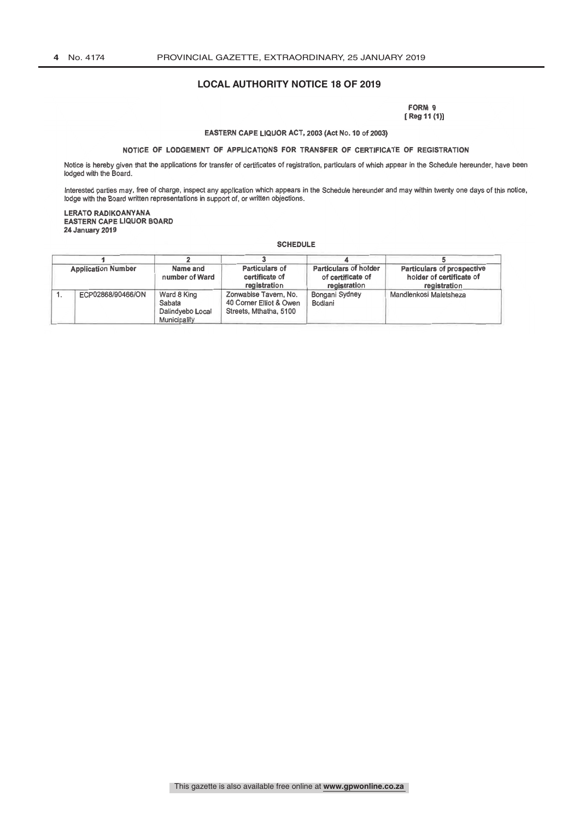### **LOCAL AUTHORITY NOTICE 18 OF 2019**

FORM 9 [ Reg 11 (1)]

#### EASTERN CAPE LIQUOR ACT, 2003 (Act No. 10 of 2003)

#### NOTICE OF LODGEMENT OF APPLICATIONS FOR TRANSFER OF CERTIFICATE OF REGISTRATION

Notice is hereby given that the applications for transfer of certificates of registration, particulars of which appear in the Schedule hereunder, have been lodged with the Board.

interested parties may, free of charge, inspect any application which appears in the Schedule hereunder and may within twenty one days of this notice,<br>lodge with the Board written representations in support of, or written

LERATO RADIKOANYANA EASTERN CAPE LIQUOR BOARD 24 January 2019

**SCHEDULE** 

| <b>Application Number</b> |                   |                                                           |                                                                            |                                                            |                                                                        |
|---------------------------|-------------------|-----------------------------------------------------------|----------------------------------------------------------------------------|------------------------------------------------------------|------------------------------------------------------------------------|
|                           |                   | Name and<br>number of Ward                                | Particulars of<br>certificate of<br>registration                           | Particulars of holder<br>of certificate of<br>registration | Particulars of prospective<br>holder of certificate of<br>registration |
|                           | ECP02868/90466/ON | Ward 8 King<br>Sabata<br>Dalindyebo Local<br>Municipality | Zonwabise Tavern, No.<br>40 Corner Elliot & Owen<br>Streets, Mthatha, 5100 | Bongani Sydney<br>Bodiani                                  | Mandlenkosi Maietsheza                                                 |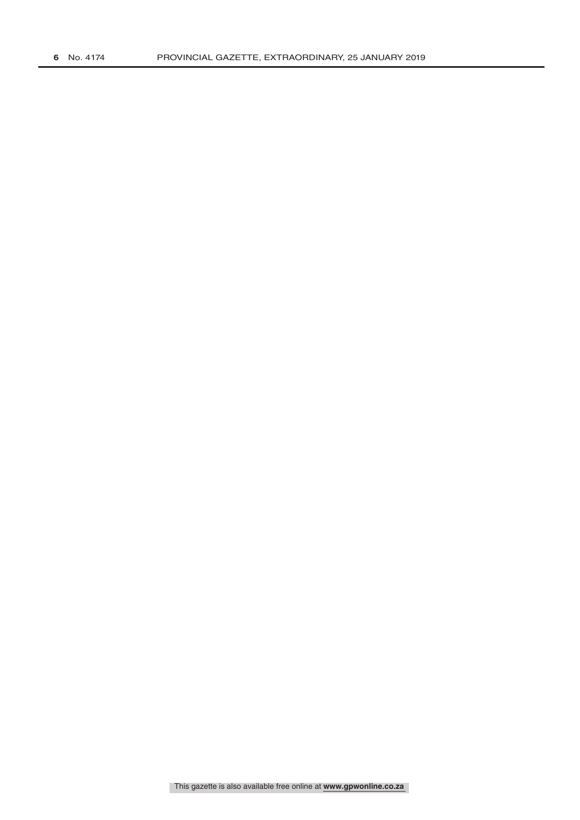This gazette is also available free online at **www.gpwonline.co.za**